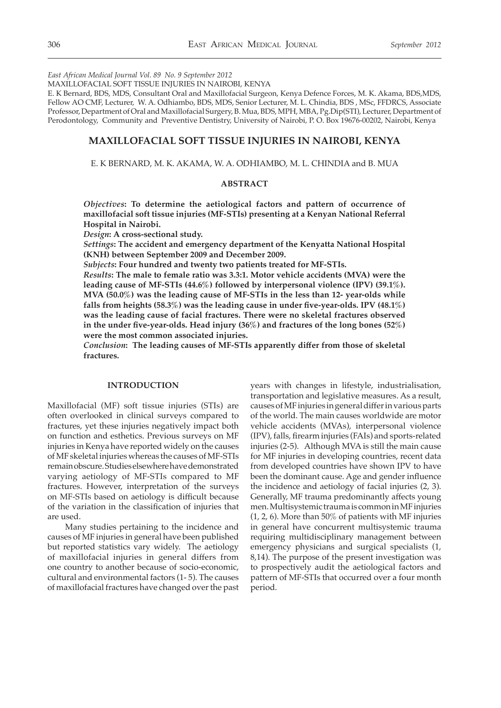*East African Medical Journal Vol. 89 No. 9 September 2012*

MAXILLOFACIAL SOFT TISSUE INJURIES IN NAIROBI, KENYA

E. K Bernard, BDS, MDS, Consultant Oral and Maxillofacial Surgeon, Kenya Defence Forces, M. K. Akama, BDS,MDS, Fellow AO CMF, Lecturer, W. A. Odhiambo, BDS, MDS, Senior Lecturer, M. L. Chindia, BDS , MSc, FFDRCS, Associate Professor, Department of Oral and Maxillofacial Surgery, B. Mua, BDS, MPH, MBA, Pg.Dip(STI), Lecturer, Department of Perodontology, Community and Preventive Dentistry, University of Nairobi, P. O. Box 19676-00202, Nairobi, Kenya

# **MAXILLOFACIAL SOFT TISSUE INJURIES IN NAIROBI, KENYA**

E. K BERNARD, M. K. AKAMA, W. A. ODHIAMBO, M. L. CHINDIA and B. MUA

## **ABSTRACT**

*Objectives***: To determine the aetiological factors and pattern of occurrence of maxillofacial soft tissue injuries (MF-STIs) presenting at a Kenyan National Referral Hospital in Nairobi.** 

*Design***: A cross-sectional study.**

*Settings***: The accident and emergency department of the Kenyatta National Hospital (KNH) between September 2009 and December 2009.** 

*Subjects***: Four hundred and twenty two patients treated for MF-STIs.**

*Results***: The male to female ratio was 3.3:1. Motor vehicle accidents (MVA) were the leading cause of MF-STIs (44.6%) followed by interpersonal violence (IPV) (39.1%). MVA (50.0%) was the leading cause of MF-STIs in the less than 12- year-olds while falls from heights (58.3%) was the leading cause in under five-year-olds. IPV (48.1%) was the leading cause of facial fractures. There were no skeletal fractures observed in the under five-year-olds. Head injury (36%) and fractures of the long bones (52%) were the most common associated injuries.**

*Conclusion***: The leading causes of MF-STIs apparently differ from those of skeletal fractures.**

### **INTRODUCTION**

Maxillofacial (MF) soft tissue injuries (STIs) are often overlooked in clinical surveys compared to fractures, yet these injuries negatively impact both on function and esthetics. Previous surveys on MF injuries in Kenya have reported widely on the causes of MF skeletal injuries whereas the causes of MF-STIs remain obscure. Studies elsewhere have demonstrated varying aetiology of MF-STIs compared to MF fractures. However, interpretation of the surveys on MF-STIs based on aetiology is difficult because of the variation in the classification of injuries that are used.

Many studies pertaining to the incidence and causes of MF injuries in general have been published but reported statistics vary widely. The aetiology of maxillofacial injuries in general differs from one country to another because of socio-economic, cultural and environmental factors (1- 5). The causes of maxillofacial fractures have changed over the past years with changes in lifestyle, industrialisation, transportation and legislative measures. As a result, causes of MF injuries in general differ in various parts of the world. The main causes worldwide are motor vehicle accidents (MVAs), interpersonal violence (IPV), falls, firearm injuries (FAIs) and sports-related injuries (2-5). Although MVA is still the main cause for MF injuries in developing countries, recent data from developed countries have shown IPV to have been the dominant cause. Age and gender influence the incidence and aetiology of facial injuries (2, 3). Generally, MF trauma predominantly affects young men. Multisystemic trauma is common in MF injuries (1, 2, 6). More than 50% of patients with MF injuries in general have concurrent multisystemic trauma requiring multidisciplinary management between emergency physicians and surgical specialists (1, 8,14). The purpose of the present investigation was to prospectively audit the aetiological factors and pattern of MF-STIs that occurred over a four month period.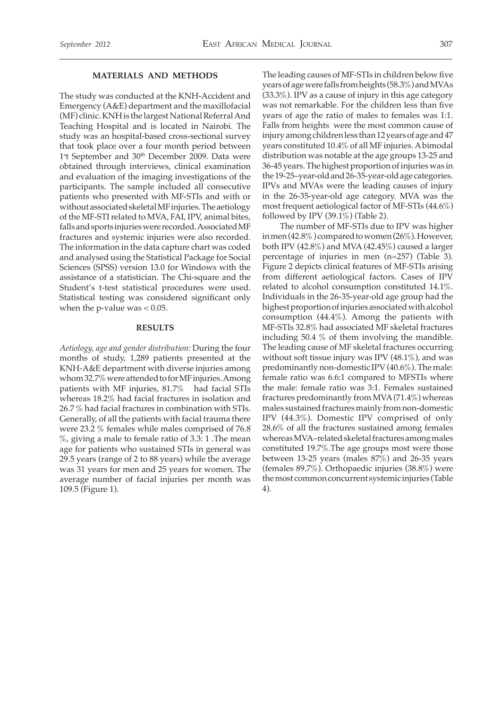### **MATERIALS AND METHODS**

The study was conducted at the KNH-Accident and Emergency (A&E) department and the maxillofacial (MF) clinic. KNH is the largest National Referral And Teaching Hospital and is located in Nairobi. The study was an hospital-based cross-sectional survey that took place over a four month period between 1<sup>s</sup>t September and 30<sup>th</sup> December 2009. Data were obtained through interviews, clinical examination and evaluation of the imaging investigations of the participants. The sample included all consecutive patients who presented with MF-STIs and with or without associated skeletal MF injuries. The aetiology of the MF-STI related to MVA, FAI, IPV, animal bites, falls and sports injuries were recorded. Associated MF fractures and systemic injuries were also recorded. The information in the data capture chart was coded and analysed using the Statistical Package for Social Sciences (SPSS) version 13.0 for Windows with the assistance of a statistician. The Chi-square and the Student's t-test statistical procedures were used. Statistical testing was considered significant only when the p-value was  $< 0.05$ .

## **RESULTS**

*Aetiology, age and gender distribution:* During the four months of study, 1,289 patients presented at the KNH-A&E department with diverse injuries among whom 32.7% were attended to for MF injuries. Among patients with MF injuries, 81.7% had facial STIs whereas 18.2% had facial fractures in isolation and 26.7 % had facial fractures in combination with STIs. Generally, of all the patients with facial trauma there were 23.2 % females while males comprised of 76.8  $\%$ , giving a male to female ratio of 3.3: 1. The mean age for patients who sustained STIs in general was 29.5 years (range of 2 to 88 years) while the average was 31 years for men and 25 years for women. The average number of facial injuries per month was 109.5 (Figure 1).

The leading causes of MF-STIs in children below five years of age were falls from heights (58.3%) and MVAs (33.3%). IPV as a cause of injury in this age category was not remarkable. For the children less than five years of age the ratio of males to females was 1:1. Falls from heights were the most common cause of injury among children less than 12 years of age and 47 years constituted 10.4% of all MF injuries. A bimodal distribution was notable at the age groups 13-25 and 36-45 years. The highest proportion of injuries was in the 19-25–year-old and 26-35-year-old age categories. IPVs and MVAs were the leading causes of injury in the 26-35-year-old age category. MVA was the most frequent aetiological factor of MF-STIs (44.6%) followed by IPV (39.1%) (Table 2).

The number of MF-STIs due to IPV was higher in men (42.8% ) compared to women (26%). However, both IPV (42.8%) and MVA (42.45%) caused a larger percentage of injuries in men (n=257) (Table 3). Figure 2 depicts clinical features of MF-STIs arising from different aetiological factors. Cases of IPV related to alcohol consumption constituted 14.1%. Individuals in the 26-35-year-old age group had the highest proportion of injuries associated with alcohol consumption (44.4%). Among the patients with MF-STIs 32.8% had associated MF skeletal fractures including 50.4 % of them involving the mandible. The leading cause of MF skeletal fractures occurring without soft tissue injury was IPV (48.1%), and was predominantly non-domestic IPV (40.6%). The male: female ratio was 6.6:1 compared to MFSTIs where the male: female ratio was 3:1. Females sustained fractures predominantly from MVA (71.4%) whereas males sustained fractures mainly from non-domestic IPV (44.3%). Domestic IPV comprised of only 28.6% of all the fractures sustained among females whereas MVA–related skeletal fractures among males constituted 19.7%.The age groups most were those between 13-25 years (males 87%) and 26-35 years (females 89.7%). Orthopaedic injuries (38.8%) were the most common concurrent systemic injuries (Table 4).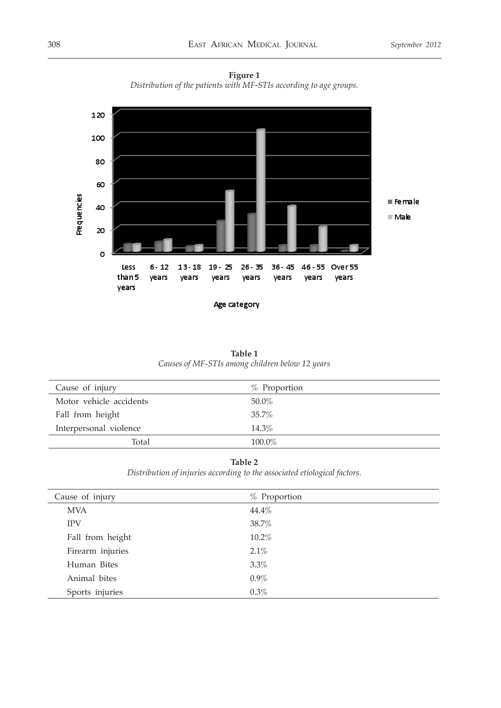



Age category

| Table 1                                         |  |  |  |  |  |  |
|-------------------------------------------------|--|--|--|--|--|--|
| Causes of MF-STIs among children below 12 years |  |  |  |  |  |  |

| Cause of injury         | $%$ Proportion |
|-------------------------|----------------|
| Motor vehicle accidents | 50.0%          |
| Fall from height        | 35.7%          |
| Interpersonal violence  | 14.3%          |
| Total                   | 100.0%         |

# **Table 2**

*Distribution of injuries according to the associated etiological factors.*

| Cause of injury  | % Proportion |
|------------------|--------------|
| <b>MVA</b>       | 44.4%        |
| <b>IPV</b>       | 38.7%        |
| Fall from height | 10.2%        |
| Firearm injuries | 2.1%         |
| Human Bites      | 3.3%         |
| Animal bites     | $0.9\%$      |
| Sports injuries  | 0.3%         |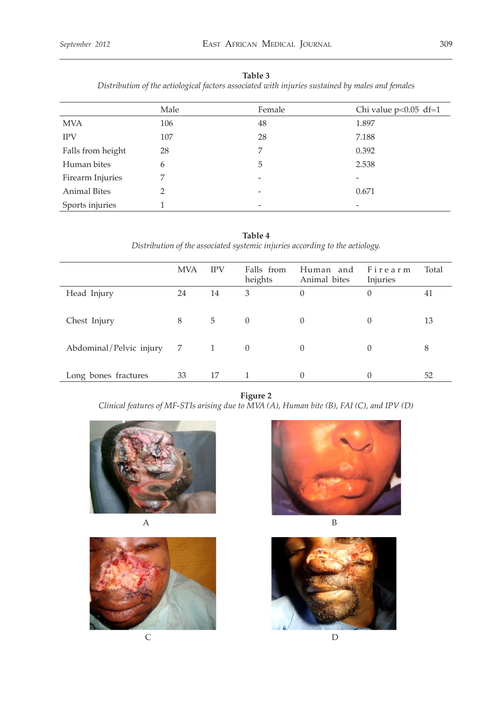# **Table 3**

*Distribution of the aetiological factors associated with injuries sustained by males and females*

|                     | Male | Female                   | Chi value $p<0.05$ df=1 |
|---------------------|------|--------------------------|-------------------------|
| <b>MVA</b>          | 106  | 48                       | 1.897                   |
| <b>IPV</b>          | 107  | 28                       | 7.188                   |
| Falls from height   | 28   | 7                        | 0.392                   |
| Human bites         | 6    | 5                        | 2.538                   |
| Firearm Injuries    | 7    |                          |                         |
| <b>Animal Bites</b> | ∍    |                          | 0.671                   |
| Sports injuries     |      | $\overline{\phantom{a}}$ |                         |

**Table 4** *Distribution of the associated systemic injuries according to the aetiology.* 

|                         | <b>MVA</b> | <b>IPV</b>     | Falls from<br>heights | Human and<br>Animal bites | Firearm<br>Injuries | Total |
|-------------------------|------------|----------------|-----------------------|---------------------------|---------------------|-------|
| Head Injury             | 24         | 14             | 3                     | $\theta$                  | 0                   | 41    |
| Chest Injury            | 8          | 5              | $\overline{0}$        | $\theta$                  | $\Omega$            | 13    |
| Abdominal/Pelvic injury | 7          | $\overline{1}$ | $\left( \right)$      | 0                         |                     | 8     |
| Long bones fractures    | 33         | 17             |                       | 0                         |                     | 52    |

**Figure 2** *Clinical features of MF-STIs arising due to MVA (A), Human bite (B), FAI (C), and IPV (D)*











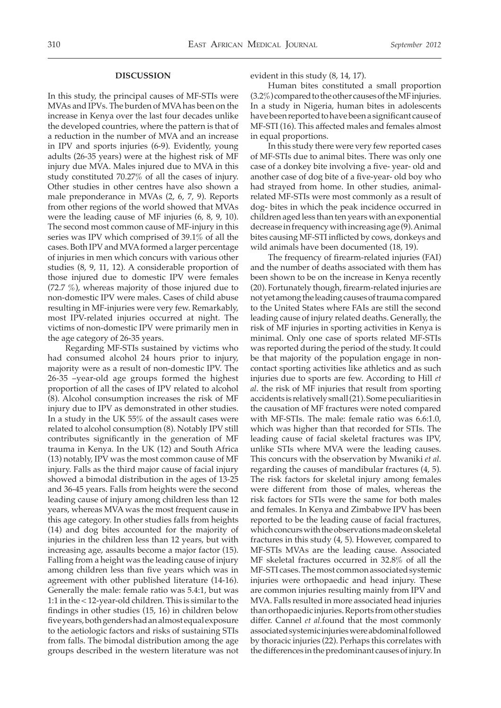#### **DISCUSSION**

In this study, the principal causes of MF-STIs were MVAs and IPVs. The burden of MVA has been on the increase in Kenya over the last four decades unlike the developed countries, where the pattern is that of a reduction in the number of MVA and an increase in IPV and sports injuries (6-9). Evidently, young adults (26-35 years) were at the highest risk of MF injury due MVA. Males injured due to MVA in this study constituted 70.27% of all the cases of injury. Other studies in other centres have also shown a male preponderance in MVAs (2, 6, 7, 9). Reports from other regions of the world showed that MVAs were the leading cause of MF injuries (6, 8, 9, 10). The second most common cause of MF-injury in this series was IPV which comprised of 39.1% of all the cases. Both IPV and MVA formed a larger percentage of injuries in men which concurs with various other studies (8, 9, 11, 12). A considerable proportion of those injured due to domestic IPV were females (72.7 %), whereas majority of those injured due to non-domestic IPV were males. Cases of child abuse resulting in MF-injuries were very few. Remarkably, most IPV-related injuries occurred at night. The victims of non-domestic IPV were primarily men in the age category of 26-35 years.

Regarding MF-STIs sustained by victims who had consumed alcohol 24 hours prior to injury, majority were as a result of non-domestic IPV. The 26-35 –year-old age groups formed the highest proportion of all the cases of IPV related to alcohol (8). Alcohol consumption increases the risk of MF injury due to IPV as demonstrated in other studies. In a study in the UK 55% of the assault cases were related to alcohol consumption (8). Notably IPV still contributes significantly in the generation of MF trauma in Kenya. In the UK (12) and South Africa (13) notably, IPV was the most common cause of MF injury. Falls as the third major cause of facial injury showed a bimodal distribution in the ages of 13-25 and 36-45 years. Falls from heights were the second leading cause of injury among children less than 12 years, whereas MVA was the most frequent cause in this age category. In other studies falls from heights (14) and dog bites accounted for the majority of injuries in the children less than 12 years, but with increasing age, assaults become a major factor (15). Falling from a height was the leading cause of injury among children less than five years which was in agreement with other published literature (14-16). Generally the male: female ratio was 5.4:1, but was 1:1 in the < 12-year-old children. This is similar to the findings in other studies (15, 16) in children below five years, both genders had an almost equal exposure to the aetiologic factors and risks of sustaining STIs from falls. The bimodal distribution among the age groups described in the western literature was not

evident in this study (8, 14, 17).

Human bites constituted a small proportion (3.2%) compared to the other causes of the MF injuries. In a study in Nigeria, human bites in adolescents have been reported to have been a significant cause of MF-STI (16). This affected males and females almost in equal proportions.

In this study there were very few reported cases of MF-STIs due to animal bites. There was only one case of a donkey bite involving a five- year- old and another case of dog bite of a five-year- old boy who had strayed from home. In other studies, animalrelated MF-STIs were most commonly as a result of dog- bites in which the peak incidence occurred in children aged less than ten years with an exponential decrease in frequency with increasing age (9). Animal bites causing MF-STI inflicted by cows, donkeys and wild animals have been documented (18, 19).

The frequency of firearm-related injuries (FAI) and the number of deaths associated with them has been shown to be on the increase in Kenya recently (20). Fortunately though, firearm-related injuries are not yet among the leading causes of trauma compared to the United States where FAIs are still the second leading cause of injury related deaths. Generally, the risk of MF injuries in sporting activities in Kenya is minimal. Only one case of sports related MF-STIs was reported during the period of the study. It could be that majority of the population engage in noncontact sporting activities like athletics and as such injuries due to sports are few. According to Hill *et al*. the risk of MF injuries that result from sporting accidents is relatively small (21). Some peculiarities in the causation of MF fractures were noted compared with MF-STIs. The male: female ratio was 6.6:1.0, which was higher than that recorded for STIs. The leading cause of facial skeletal fractures was IPV, unlike STIs where MVA were the leading causes. This concurs with the observation by Mwaniki *et al*. regarding the causes of mandibular fractures (4, 5). The risk factors for skeletal injury among females were different from those of males, whereas the risk factors for STIs were the same for both males and females. In Kenya and Zimbabwe IPV has been reported to be the leading cause of facial fractures, which concurs with the observations made on skeletal fractures in this study (4, 5). However, compared to MF-STIs MVAs are the leading cause. Associated MF skeletal fractures occurred in 32.8% of all the MF-STI cases. The most common associated systemic injuries were orthopaedic and head injury. These are common injuries resulting mainly from IPV and MVA. Falls resulted in more associated head injuries than orthopaedic injuries. Reports from other studies differ. Cannel *et al.*found that the most commonly associated systemic injuries were abdominal followed by thoracic injuries (22). Perhaps this correlates with the differences in the predominant causes of injury. In